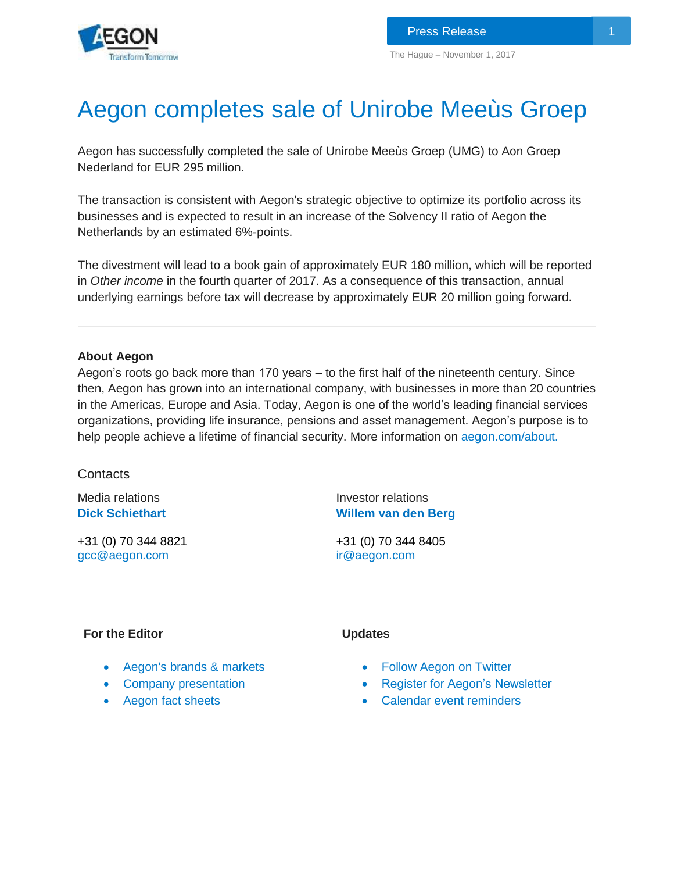# Aegon completes sale of Unirobe Meeùs Groep

Aegon has successfully completed the sale of Unirobe Meeùs Groep (UMG) to Aon Groep Nederland for EUR 295 million.

The transaction is consistent with Aegon's strategic objective to optimize its portfolio across its businesses and is expected to result in an increase of the Solvency II ratio of Aegon the Netherlands by an estimated 6%-points.

The divestment will lead to a book gain of approximately EUR 180 million, which will be reported in *Other income* in the fourth quarter of 2017. As a consequence of this transaction, annual underlying earnings before tax will decrease by approximately EUR 20 million going forward.

### **About Aegon**

Aegon's roots go back more than 170 years – to the first half of the nineteenth century. Since then, Aegon has grown into an international company, with businesses in more than 20 countries in the Americas, Europe and Asia. Today, Aegon is one of the world's leading financial services organizations, providing life insurance, pensions and asset management. Aegon's purpose is to help people achieve a lifetime of financial security. More information on [aegon.com/about.](http://www.aegon.com/about)

## **Contacts**

Media relations **[Dick S](http://www.aegon.com/Home/Investors/Contact/Media-Team/#50477)chiethart**

+31 (0) 70 344 8821 [gcc@aegon.com](mailto:gcc@aegon.com)

Investor relations **[Willem van den Berg](http://www.aegon.com/en/Home/Investors/Contact/Investor-Relations-Team/#34471)**

+31 (0) 70 344 8405 [ir@aegon.com](mailto:ir@aegon.com)

#### **For the Editor**

- **Updates**
- [Aegon's brands & markets](http://www.aegon.com/en/Home/About/Brands--markets/?id=62629)
- [Company presentation](http://www.aegon.com/en/Home/Investors/News/Presentations/Archive/Introduction-to-Aegon/?id=31260)
- [Aegon fact sheets](http://www.aegon.com/en/Home/Investors/Fact-Sheets/?id=43432)
- [Follow Aegon on Twitter](http://twitter.com/Aegon)
- [Register for Aegon's Newsletter](http://aegon.us8.list-manage.com/subscribe?u=bed4350c3e2011a47e35e8081&id=8bc411d73f)
- [Calendar event reminders](http://www.aegon.com/en/Home/Investors/Calendar/)